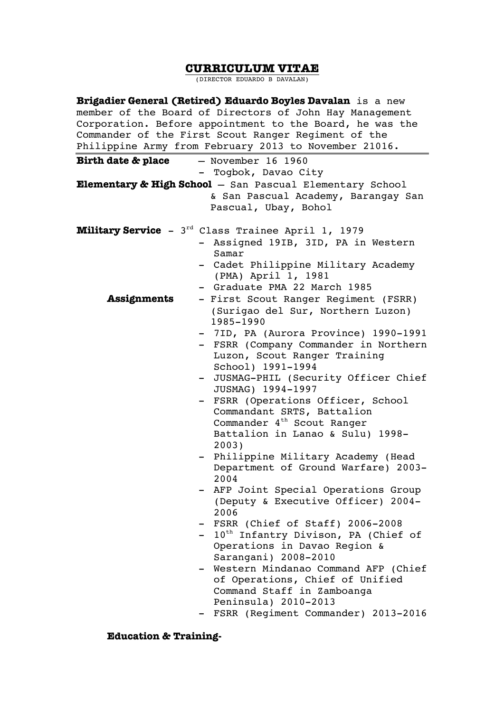# **CURRICULUM VITAE**

(DIRECTOR EDUARDO B DAVALAN)

**Brigadier General (Retired) Eduardo Boyles Davalan** is a new member of the Board of Directors of John Hay Management Corporation. Before appointment to the Board, he was the Commander of the First Scout Ranger Regiment of the Philippine Army from February 2013 to November 21016. **Birth date & place** – November 16 1960 - Togbok, Davao City **Elementary & High School** – San Pascual Elementary School & San Pascual Academy, Barangay San Pascual, Ubay, Bohol **Military Service** - 3rd Class Trainee April 1, 1979 - Assigned 19IB, 3ID, PA in Western Samar - Cadet Philippine Military Academy (PMA) April 1, 1981 - Graduate PMA 22 March 1985 **Assignments** - First Scout Ranger Regiment (FSRR) (Surigao del Sur, Northern Luzon) 1985-1990 - 7ID, PA (Aurora Province) 1990-1991 - FSRR (Company Commander in Northern Luzon, Scout Ranger Training School) 1991-1994 - JUSMAG-PHIL (Security Officer Chief JUSMAG) 1994-1997 - FSRR (Operations Officer, School Commandant SRTS, Battalion Commander  $4^{th}$  Scout Ranger Battalion in Lanao & Sulu) 1998- 2003) - Philippine Military Academy (Head Department of Ground Warfare) 2003- 2004 - AFP Joint Special Operations Group (Deputy & Executive Officer) 2004- 2006 - FSRR (Chief of Staff) 2006-2008 -  $10^{th}$  Infantry Divison, PA (Chief of Operations in Davao Region & Sarangani) 2008-2010 - Western Mindanao Command AFP (Chief of Operations, Chief of Unified Command Staff in Zamboanga Peninsula) 2010-2013 - FSRR (Regiment Commander) 2013-2016

## **Education & Training-**